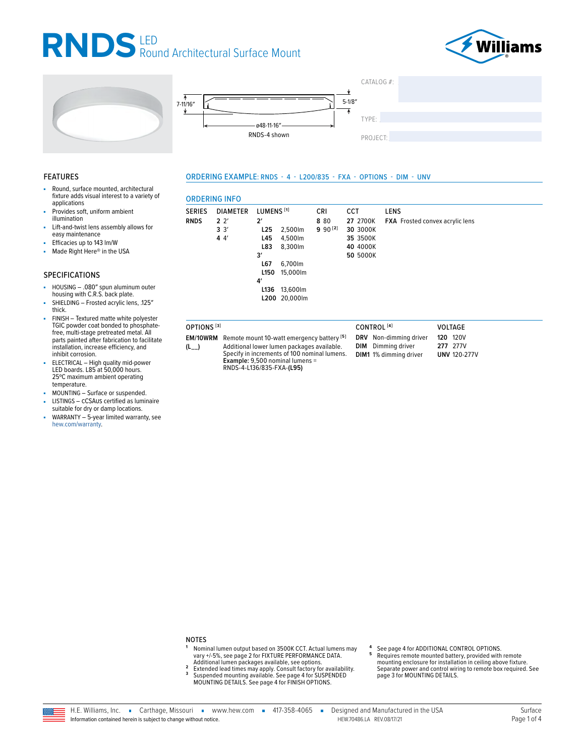### RNDS LED<br>Round Architectural Surface Mount







#### **FEATURES**

- Round, surface mounted, architectural fixture adds visual interest to a variety of applications
- Provides soft, uniform ambient illumination
- Lift-and-twist lens assembly allows for easy maintenance
- Efficacies up to 143 lm/W
- Made Right Here® in the USA ÷.

#### **SPECIFICATIONS**

- HOUSING .080" spun aluminum outer<br>housing with C.R.S. back plate.
- SHIELDING Frosted acrylic lens, .125" thick.
- FINISH Textured matte white polyester TGIC powder coat bonded to phosphatefree, multi-stage pretreated metal. All parts painted after fabrication to facilitate installation, increase efficiency, and inhibit corrosion.
- ELECTRICAL High quality mid-power LED boards. L85 at 50,000 hours. 25°C maximum ambient operating temperature.
- MOUNTING Surface or suspended.
- LISTINGS CCSAUS certified as luminaire suitable for dry or damp locations.
- WARRANTY 5-year limited warranty, see hew.com/warranty.

#### ORDERING EXAMPLE: RNDS - 4 - L200/835 - FXA - OPTIONS - DIM - UNV

#### **DEDIMA INEA**

| <b>SERIES</b>          | <b>DIAMETER</b>                          | LUMENS <sup>[1]</sup>                          |                                          | <b>CRI</b>          | <b>CCT</b>                                               | <b>LENS</b>                            |
|------------------------|------------------------------------------|------------------------------------------------|------------------------------------------|---------------------|----------------------------------------------------------|----------------------------------------|
| <b>RNDS</b>            | 2 <sup>2</sup><br>$3 \frac{3}{2}$<br>44' | $2^{\prime}$<br>L25<br>L45<br>L83<br>3'<br>L67 | 2,500lm<br>4,500lm<br>8,300lm<br>6,700lm | 8 80<br>$990^{[2]}$ | 27 2700K<br>30 3000K<br>35 3500K<br>40 4000K<br>50 5000K | <b>FXA</b> Frosted convex acrylic lens |
|                        |                                          | L150<br>4'                                     | 15,000lm                                 |                     |                                                          |                                        |
|                        |                                          |                                                | L136 13,600lm<br>L200 20,000lm           |                     |                                                          |                                        |
| OPTIONS <sup>[3]</sup> |                                          |                                                |                                          |                     | CONTROL <sup>[4]</sup>                                   | <b>VOLTAGE</b>                         |

EM/10WRM Remote mount 10-watt emergency battery<sup>[5]</sup> Additional lower lumen packages available.  $(L_{--})$ Specify in increments of 100 nominal lumens. Example: 9,500 nominal lumens = RNDS-4-L136/835-FXA-(L95)

- DRV Non-dimming driver **DIM** Dimming driver DIM1 1% dimming driver
	- **120 120V** 277 277V **UNV 120-277V**

#### **NOTES**

 $\overline{\mathbf{3}}$ 

- -<br>Nominal lumen output based on 3500K CCT. Actual lumens may<br>vary +/-5%, see page 2 for FIXTURE PERFORMANCE DATA.  $\overline{2}$
- Vary +/-5%, see page 2 for FIXTURE PERFORMMANCE DATA.<br>Additional lumen packages available, see options.<br>Extended lead times may apply. Consult factory for availability.<br>Suspended mounting available. See page 4 for SUSPENDE
- See page 4 for ADDITIONAL CONTROL OPTIONS. 5
- Requires remote mounted battery, provided with remote mounting enclosure for installation in celling above fixture.<br>Separate power and control wiring to remote box required. See page 3 for MOUNTING DETAILS.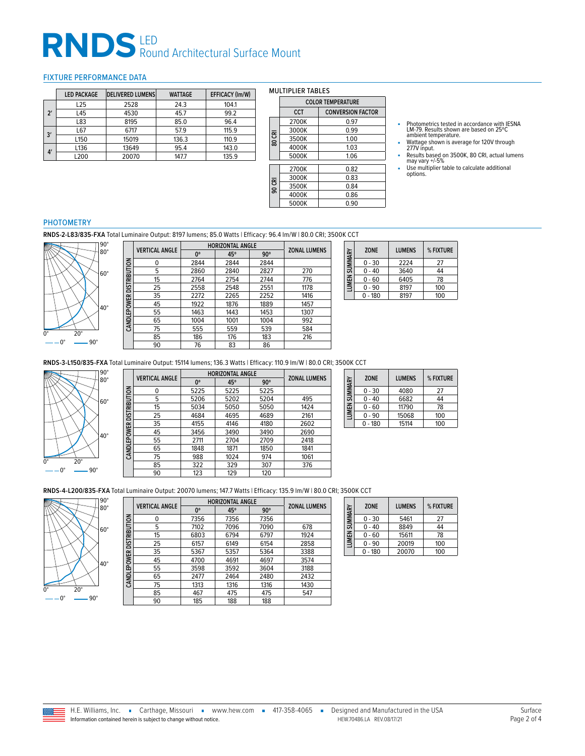# RNDS<sup>LED</sup> Round Architectural Surface Mount

#### <span id="page-1-0"></span>FIXTURE PERFORMANCE DATA

|              | <b>LED PACKAGE</b> | <b>DELIVERED LUMENS</b> | <b>WATTAGE</b> | <b>EFFICACY (Im/W)</b> |
|--------------|--------------------|-------------------------|----------------|------------------------|
|              | L25                | 2528                    | 24.3           | 104.1                  |
| $2^{\prime}$ | L45                | 4530                    | 45.7           | 99.2                   |
|              | L83                | 8195                    | 85.0           | 96.4                   |
|              | L67                | 6717                    | 57.9           | 115.9                  |
| 3'           | L <sub>150</sub>   | 15019                   | 136.3          | 110.9                  |
|              | L136               | 13649                   | 95.4           | 143.0                  |
| 4'           | L200               | 20070                   | 147.7          | 135.9                  |

#### MULTIPLIER TABLES

|        | <b>COLOR TEMPERATURE</b> |                          |  |
|--------|--------------------------|--------------------------|--|
|        | <b>CCT</b>               | <b>CONVERSION FACTOR</b> |  |
|        | 2700K                    | 0.97                     |  |
|        | 3000K                    | 0.99                     |  |
| 80 CRI | 3500K                    | 1.00                     |  |
|        | 4000K                    | 1.03                     |  |
|        | 5000K                    | 1.06                     |  |
|        | 2700K                    | 0.82                     |  |
|        | 3000K                    | 0.83                     |  |
| 90 CRI | 3500K                    | 0.84                     |  |
|        | 4000K                    | 0.86                     |  |
|        | 5000K                    | 0.90                     |  |

- Photometrics tested in accordance with IESNA LM-79. Results shown are based on 25ºC ambient temperature.
- Wattage shown is average for 120V through 277V input.
- Results based on 3500K, 80 CRI, actual lumens may vary +/-5% ■ Use multiplier table to calculate additional options.

#### PHOTOMETRY

**RNDS-2-L83/835-FXA** Total Luminaire Output: 8197 lumens; 85.0 Watts | Efficacy: 96.4 lm/W | 80.0 CRI; 3500K CCT



|                     | <b>VERTICAL ANGLE</b> | <b>HORIZONTAL ANGLE</b> |      |            | <b>ZONAL LUMENS</b> |
|---------------------|-----------------------|-------------------------|------|------------|---------------------|
|                     |                       | 0°                      | 45°  | $90^\circ$ |                     |
| <b>DISTRIBUTION</b> | 0                     | 2844                    | 2844 | 2844       |                     |
|                     | 5                     | 2860                    | 2840 | 2827       | 270                 |
|                     | 15                    | 2764                    | 2754 | 2744       | 776                 |
|                     | 25                    | 2558                    | 2548 | 2551       | 1178                |
|                     | 35                    | 2272                    | 2265 | 2252       | 1416                |
| EPOWER              | 45                    | 1922                    | 1876 | 1889       | 1457                |
|                     | 55                    | 1463                    | 1443 | 1453       | 1307                |
| CANDLI              | 65                    | 1004                    | 1001 | 1004       | 992                 |
|                     | 75                    | 555                     | 559  | 539        | 584                 |
|                     | 85                    | 186                     | 176  | 183        | 216                 |
|                     | 90                    | 76                      | 83   | 86         |                     |

| LUMEN SUMMARY | <b>ZONE</b> | <b>LUMENS</b> | % FIXTURE |
|---------------|-------------|---------------|-----------|
|               | $0 - 30$    | 2224          | 27        |
|               | $0 - 40$    | 3640          | 44        |
|               | $0 - 60$    | 6405          | 78        |
|               | $0 - 90$    | 8197          | 100       |
|               | $0 - 180$   | 8197          | 100       |

**RNDS-3-L150/835-FXA** Total Luminaire Output: 15114 lumens; 136.3 Watts | Efficacy: 110.9 lm/W | 80.0 CRI; 3500K CCT



|                            | <b>VERTICAL ANGLE</b> | <b>HORIZONTAL ANGLE</b> | <b>ZONAL LUMENS</b> |            |      |
|----------------------------|-----------------------|-------------------------|---------------------|------------|------|
|                            |                       | 0°                      | 45°                 | $90^\circ$ |      |
|                            | 0                     | 5225                    | 5225                | 5225       |      |
| CAN DLE POWER DISTRIBUTION | 5                     | 5206                    | 5202                | 5204       | 495  |
|                            | 15                    | 5034                    | 5050                | 5050       | 1424 |
|                            | 25                    | 4684                    | 4695                | 4689       | 2161 |
|                            | 35                    | 4155                    | 4146                | 4180       | 2602 |
|                            | 45                    | 3456                    | 3490                | 3490       | 2690 |
|                            | 55                    | 2711                    | 2704                | 2709       | 2418 |
|                            | 65                    | 1848                    | 1871                | 1850       | 1841 |
|                            | 75                    | 988                     | 1024                | 974        | 1061 |
|                            | 85                    | 322                     | 329                 | 307        | 376  |
|                            | 90                    | 123                     | 129                 | 120        |      |

| LUMEN SUMMARY | <b>ZONE</b> | <b>LUMENS</b> | % FIXTURE |
|---------------|-------------|---------------|-----------|
|               | $0 - 30$    | 4080          | 27        |
|               | $0 - 40$    | 6682          | 44        |
|               | $0 - 60$    | 11790         | 78        |
|               | 0 - 90      | 15068         | 100       |
|               | $0 - 180$   | 15114         | 100       |

**RNDS-4-L200/835-FXA** Total Luminaire Output: 20070 lumens; 147.7 Watts | Efficacy: 135.9 lm/W | 80.0 CRI; 3500K CCT



|                     |                       | <b>HORIZONTAL ANGLE</b> |      |            |                     |
|---------------------|-----------------------|-------------------------|------|------------|---------------------|
|                     | <b>VERTICAL ANGLE</b> | 0°                      | 45°  | $90^\circ$ | <b>ZONAL LUMENS</b> |
|                     | 0                     | 7356                    | 7356 | 7356       |                     |
|                     | 5                     | 7102                    | 7096 | 7090       | 678                 |
| <b>DISTRIBUTION</b> | 15                    | 6803                    | 6794 | 6797       | 1924                |
|                     | 25                    | 6157                    | 6149 | 6154       | 2858                |
|                     | 35                    | 5367                    | 5357 | 5364       | 3388                |
|                     | 45                    | 4700                    | 4691 | 4697       | 3574                |
| <b>CANDLEPOWER</b>  | 55                    | 3598                    | 3592 | 3604       | 3188                |
|                     | 65                    | 2477                    | 2464 | 2480       | 2432                |
|                     | 75                    | 1313                    | 1316 | 1316       | 1430                |
|                     | 85                    | 467                     | 475  | 475        | 547                 |
|                     | 90                    | 185                     | 188  | 188        |                     |

| LUMEN SUMMARY | <b>ZONE</b> | <b>LUMENS</b> | % FIXTURE |
|---------------|-------------|---------------|-----------|
|               | $0 - 30$    | 5461          | 27        |
|               | $0 - 40$    | 8849          | 44        |
|               | $0 - 60$    | 15611         | 78        |
|               | $0 - 90$    | 20019         | 100       |
|               | $0 - 180$   | 20070         | 100       |

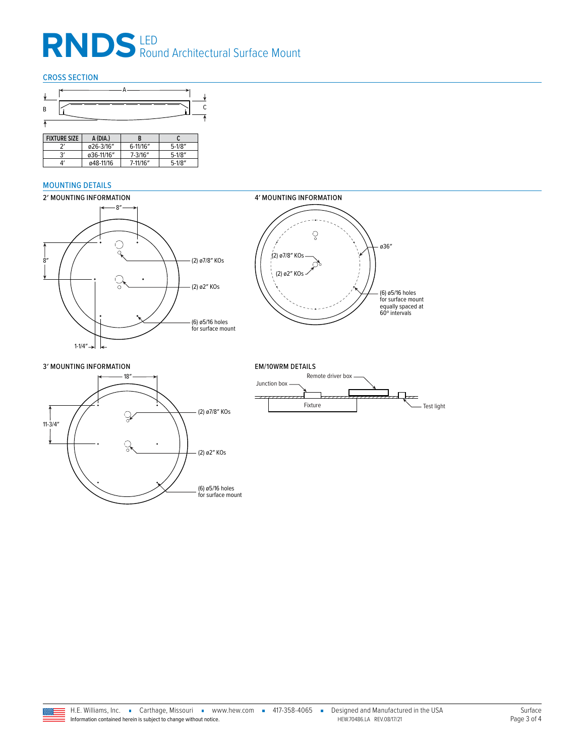# RNDS<sup>LED</sup> Round Architectural Surface Mount

#### CROSS SECTION



| <b>FIXTURF SIZE</b> | A (DIA.)   |              |           |
|---------------------|------------|--------------|-----------|
|                     | ø26-3/16"  | $6-11/16''$  | $5-1/8''$ |
| ا2                  | ø36-11/16" | $7 - 3/16''$ | $5-1/8''$ |
| Δ'                  | ø48-11/16  | 7-11/16"     | $5-1/8''$ |

#### <span id="page-2-0"></span>MOUNTING DETAILS





3′ MOUNTING INFORMATION EM/10WRM DETAILS